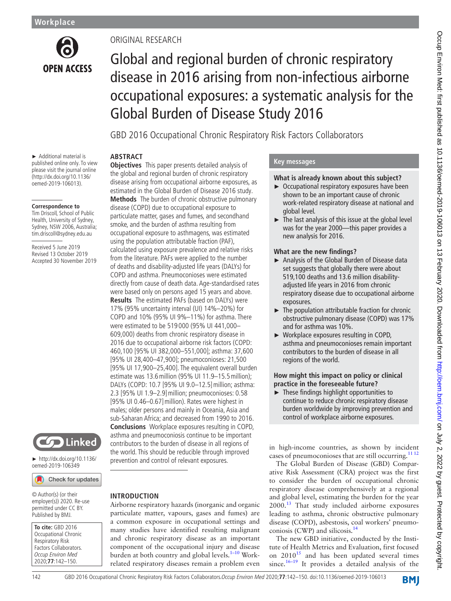

# Original research

# Global and regional burden of chronic respiratory disease in 2016 arising from non-infectious airborne occupational exposures: a systematic analysis for the Global Burden of Disease Study 2016

GBD 2016 Occupational Chronic Respiratory Risk Factors Collaborators

#### **Abstract Objectives** This paper presents detailed analysis of

the global and regional burden of chronic respiratory disease arising from occupational airborne exposures, as estimated in the Global Burden of Disease 2016 study. **Methods** The burden of chronic obstructive pulmonary disease (COPD) due to occupational exposure to particulate matter, gases and fumes, and secondhand smoke, and the burden of asthma resulting from occupational exposure to asthmagens, was estimated using the population attributable fraction (PAF), calculated using exposure prevalence and relative risks from the literature. PAFs were applied to the number of deaths and disability-adjusted life years (DALYs) for COPD and asthma. Pneumoconioses were estimated directly from cause of death data. Age-standardised rates were based only on persons aged 15 years and above. **Results** The estimated PAFs (based on DALYs) were 17% (95% uncertainty interval (UI) 14%–20%) for COPD and 10% (95% UI 9%–11%) for asthma. There were estimated to be 519 000 (95% UI 441,000– 609,000) deaths from chronic respiratory disease in 2016 due to occupational airborne risk factors (COPD: 460,100 [95% UI 382,000–551,000]; asthma: 37,600 [95% UI 28,400–47,900]; pneumoconioses: 21,500 [95% UI 17,900–25,400]. The equivalent overall burden estimate was 13.6million (95% UI 11.9–15.5million); DALYs (COPD: 10.7 [95% UI 9.0–12.5]million; asthma: 2.3 [95% UI 1.9–2.9]million; pneumoconioses: 0.58 [95% UI 0.46–0.67]million). Rates were highest in males; older persons and mainly in Oceania, Asia and sub-Saharan Africa; and decreased from 1990 to 2016. **Conclusions** Workplace exposures resulting in COPD, asthma and pneumoconiosis continue to be important contributors to the burden of disease in all regions of the world. This should be reducible through improved prevention and control of relevant exposures.

► Additional material is published online only. To view please visit the journal online (http://dx.doi.org/10.1136/ oemed-2019-106013).

#### **Correspondence to**

Tim Driscoll, School of Public Health, University of Sydney, Sydney, NSW 2006, Australia: tim.driscoll@sydney.edu.au

Received 5 June 2019 Revised 13 October 2019 Accepted 30 November 2019



► [http://dx.doi.org/10.1136/](http://dx.doi.org/10.1136/oemed-2019-106349) [oemed-2019-106349](http://dx.doi.org/10.1136/oemed-2019-106349)

#### Check for updates

© Author(s) (or their employer(s)) 2020. Re-use permitted under CC BY. Published by BMJ.

**To cite:** GBD 2016 Occupational Chronic Respiratory Risk Factors Collaborators. Occup Environ Med 2020;**77**:142–150.

# **Introduction**

Airborne respiratory hazards (inorganic and organic particulate matter, vapours, gases and fumes) are a common exposure in occupational settings and many studies have identified resulting malignant and chronic respiratory disease as an important component of the occupational injury and disease burden at both country and global levels. $1-10$  Workrelated respiratory diseases remain a problem even

# **Key messages**

#### **What is already known about this subject?**

- ► Occupational respiratory exposures have been shown to be an important cause of chronic work-related respiratory disease at national and global level.
- $\blacktriangleright$  The last analysis of this issue at the global level was for the year 2000—this paper provides a new analysis for 2016.

# **What are the new findings?**

- ► Analysis of the Global Burden of Disease data set suggests that globally there were about 519,100 deaths and 13.6 million disabilityadjusted life years in 2016 from chronic respiratory disease due to occupational airborne exposures.
- $\blacktriangleright$  The population attributable fraction for chronic obstructive pulmonary disease (COPD) was 17% and for asthma was 10%.
- ► Workplace exposures resulting in COPD, asthma and pneumoconioses remain important contributors to the burden of disease in all regions of the world.

# **How might this impact on policy or clinical practice in the foreseeable future?**

► These findings highlight opportunities to continue to reduce chronic respiratory disease burden worldwide by improving prevention and control of workplace airborne exposures.

in high-income countries, as shown by incident cases of pneumoconioses that are still occurring.<sup>[11 12](#page-7-1)</sup>

The Global Burden of Disease (GBD) Comparative Risk Assessment (CRA) project was the first to consider the burden of occupational chronic respiratory disease comprehensively at a regional and global level, estimating the burden for the year 2000.<sup>13</sup> That study included airborne exposures leading to asthma, chronic obstructive pulmonary disease (COPD), asbestosis, coal workers' pneumoconiosis (CWP) and silicosis.<sup>14</sup>

The new GBD initiative, conducted by the Institute of Health Metrics and Evaluation, first focused on  $2010^{15}$  and has been updated several times since.<sup>16-19</sup> It provides a detailed analysis of the

**BMI**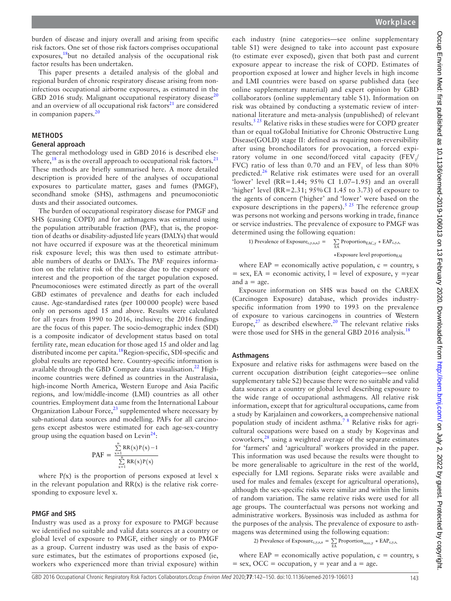burden of disease and injury overall and arising from specific risk factors. One set of those risk factors comprises occupational exposures,[18](#page-7-6)but no detailed analysis of the occupational risk factor results has been undertaken.

This paper presents a detailed analysis of the global and regional burden of chronic respiratory disease arising from noninfectious occupational airborne exposures, as estimated in the GBD [20](#page-7-7)16 study. Malignant occupational respiratory disease<sup>20</sup> and an overview of all occupational risk factors $21$  are considered in companion papers.<sup>[20](#page-7-7)</sup>

#### **Methods**

#### **General approach**

The general methodology used in GBD 2016 is described elsewhere, $^{18}$  as is the overall approach to occupational risk factors.<sup>[21](#page-7-8)</sup> These methods are briefly summarised here. A more detailed description is provided here of the analyses of occupational exposures to particulate matter, gases and fumes (PMGF), secondhand smoke (SHS), asthmagens and pneumoconiotic dusts and their associated outcomes.

The burden of occupational respiratory disease for PMGF and SHS (causing COPD) and for asthmagens was estimated using the population attributable fraction (PAF), that is, the proportion of deaths or disability-adjusted life years (DALYs) that would not have occurred if exposure was at the theoretical minimum risk exposure level; this was then used to estimate attributable numbers of deaths or DALYs. The PAF requires information on the relative risk of the disease due to the exposure of interest and the proportion of the target population exposed. Pneumoconioses were estimated directly as part of the overall GBD estimates of prevalence and deaths for each included cause. Age-standardised rates (per 100000 people) were based only on persons aged 15 and above. Results were calculated for all years from 1990 to 2016, inclusive; the 2016 findings are the focus of this paper. The socio-demographic index (SDI) is a composite indicator of development status based on total fertility rate, mean education for those aged 15 and older and lag distributed income per capita.<sup>18</sup>Region-specific, SDI-specific and global results are reported here. Country-specific information is available through the GBD Compare data visualisation.<sup>[22](#page-7-9)</sup> Highincome countries were defined as countries in the Australasia, high-income North America, Western Europe and Asia Pacific regions, and low/middle-income (LMI) countries as all other countries. Employment data came from the International Labour Organization Labour Force, $^{23}$  supplemented where necessary by sub-national data sources and modelling. PAFs for all carcinogens except asbestos were estimated for each age-sex-country group using the equation based on Levin<sup>[24](#page-8-0)</sup>:

$$
PAF = \frac{\sum_{x=1}^{n} RR(x)P(x) - 1}{\sum_{x=1}^{n} RR(x)P(x)}
$$

where  $P(x)$  is the proportion of persons exposed at level x in the relevant population and  $RR(x)$  is the relative risk corresponding to exposure level x.

#### **PMGF and SHS**

Industry was used as a proxy for exposure to PMGF because we identified no suitable and valid data sources at a country or global level of exposure to PMGF, either singly or to PMGF as a group. Current industry was used as the basis of exposure estimates, but the estimates of proportions exposed (ie, workers who experienced more than trivial exposure) within

each industry (nine categories—see [online supplementary](https://dx.doi.org/10.1136/oemed-2019-106013) [table S1\)](https://dx.doi.org/10.1136/oemed-2019-106013) were designed to take into account past exposure (to estimate ever exposed), given that both past and current exposure appear to increase the risk of COPD. Estimates of proportion exposed at lower and higher levels in high income and LMI countries were based on sparse published data (see [online supplementary material\)](https://dx.doi.org/10.1136/oemed-2019-106013) and expert opinion by GBD collaborators [\(online supplementary table S1](https://dx.doi.org/10.1136/oemed-2019-106013)). Information on risk was obtained by conducting a systematic review of international literature and meta-analysis (unpublished) of relevant results.[5 25](#page-7-11) Relative risks in these studies were for COPD greater than or equal toGlobal Initiative for Chronic Obstructive Lung Disease(GOLD) stage II: defined as requiring non-reversibility after using bronchodilators for provocation, a forced expiratory volume in one second/forced vital capacity (FEV<sub>1</sub>/ FVC) ratio of less than 0.70 and an  $FEV_1$  of less than 80% predicted.<sup>[26](#page-8-1)</sup> Relative risk estimates were used for an overall 'lower' level (RR=1.44; 95% CI 1.07–1.95) and an overall 'higher' level (RR= $2.31$ ; 95% CI 1.45 to 3.73) of exposure to the agents of concern ('higher' and 'lower' were based on the exposure descriptions in the papers).<sup>5 25</sup> The reference group was persons not working and persons working in trade, finance or service industries. The prevalence of exposure to PMGF was determined using the following equation:

1) Prevalence of 
$$
Exposure_{c,y,s,a,l} = \sum_{EA} Proportion_{EAC,y} * EAP_{c,y,s}
$$
  
  $*Exposure level proportionEA$ 

where  $EAP =$  economically active population,  $c =$  country, s  $=$  sex, EA  $=$  economic activity,  $l =$  level of exposure, y  $=$ year and  $a = age$ .

Exposure information on SHS was based on the CAREX (Carcinogen Exposure) database, which provides industryspecific information from 1990 to 1993 on the prevalence of exposure to various carcinogens in countries of Western Europe, $27$  as described elsewhere.<sup>[20](#page-7-7)</sup> The relevant relative risks were those used for SHS in the general GBD 2016 analysis.<sup>18</sup>

#### **Asthmagens**

Exposure and relative risks for asthmagens were based on the current occupation distribution (eight categories—see [online](https://dx.doi.org/10.1136/oemed-2019-106013) [supplementary table S2\)](https://dx.doi.org/10.1136/oemed-2019-106013) because there were no suitable and valid data sources at a country or global level describing exposure to the wide range of occupational asthmagens. All relative risk information, except that for agricultural occupations, came from a study by Karjalainen and coworkers, a comprehensive national population study of incident asthma.[7 8](#page-7-12) Relative risks for agricultural occupations were based on a study by Kogevinas and coworkers, $28$  using a weighted average of the separate estimates for 'farmers' and 'agricultural' workers provided in the paper. This information was used because the results were thought to be more generalisable to agriculture in the rest of the world, especially for LMI regions. Separate risks were available and used for males and females (except for agricultural operations), although the sex-specific risks were similar and within the limits of random variation. The same relative risks were used for all age groups. The counterfactual was persons not working and administrative workers. Byssinosis was included as asthma for the purposes of the analysis. The prevalence of exposure to asthmagens was determined using the following equation:

2) Prevalence of Exposure<sub>c,y,s,a</sub> =  $\sum_{EA}$  Proportion<sub>occc,y</sub> \* EAP<sub>c,y,s,</sub>

where  $EAP =$  economically active population,  $c =$  country, s  $=$  sex, OCC  $=$  occupation,  $y =$  year and  $a =$  age.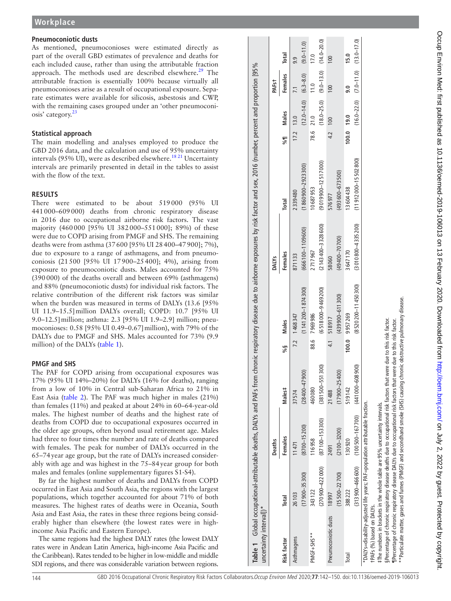#### **Pneumoconiotic dusts**

As mentioned, pneumoconioses were estimated directly as part of the overall GBD estimates of prevalence and deaths for each included cause, rather than using the attributable fraction approach. The methods used are described elsewhere.<sup>29</sup> The attributable fraction is essentially 100% because virtually all pneumoconioses arise as a result of occupational exposure. Sepa rate estimates were available for silicosis, asbestosis and CWP, with the remaining cases grouped under an 'other pneumoconiosis' category.[23](#page-7-10)

# **Statistical approach**

The main modelling and analyses employed to produce the GBD 2016 data, and the calculation and use of 95% uncertainty intervals (95% UI), were as described elsewhere.<sup>[18 21](#page-7-6)</sup> Uncertainty intervals are primarily presented in detail in the tables to assist with the flow of the text.

#### **Results**

There were estimated to be about 519000 (95% UI 441000–609000) deaths from chronic respiratory disease in 2016 due to occupational airborne risk factors. The vast majority (460000 [95% UI 382000–551000]; 89%) of these were due to COPD arising from PMGF and SHS. The remaining deaths were from asthma (37600 [95% UI 28400–47900]; 7%), due to exposure to a range of asthmagens, and from pneumo coniosis (21500 [95% UI 17900–25400]; 4%), arising from exposure to pneumoconiotic dusts. Males accounted for 75% (390000) of the deaths overall and between 69% (asthmagens) and 88% (pneumoconiotic dusts) for individual risk factors. The relative contribution of the different risk factors was similar when the burden was measured in terms of DALYs (13.6 [95% UI 11.9–15.5]million DALYs overall; COPD: 10.7 [95% UI 9.0–12.5]million; asthma: 2.3 [95% UI 1.9–2.9] million; pneu moconioses: 0.58 [95% UI 0.49–0.67] million), with 79% of the DALYs due to PMGF and SHS. Males accounted for 73% (9.9 million) of the DALYs ([table](#page-2-0) 1).

# **PMGF and SHS**

The PAF for COPD arising from occupational exposures was 17% (95% UI 14%–20%) for DALYs (16% for deaths), ranging from a low of 10% in Central sub-Saharan Africa to 21% in East Asia ([table](#page-3-0) 2). The PAF was much higher in males (21%) than females (11%) and peaked at about 24% in 60–64-year -old males. The highest number of deaths and the highest rate of deaths from COPD due to occupational exposures occurred in the older age groups, often beyond usual retirement age. Males had three to four times the number and rate of deaths compared with females. The peak for number of DALYs occurred in the 65–74year age group, but the rate of DALYs increased consider ably with age and was highest in the 75–84year group for both males and females [\(online supplementary figures S1-S4](https://dx.doi.org/10.1136/oemed-2019-106013)).

By far the highest number of deaths and DALYs from COPD occurred in East Asia and South Asia, the regions with the largest populations, which together accounted for about 71% of both measures. The highest rates of deaths were in Oceania, South Asia and East Asia, the rates in these three regions being consid erably higher than elsewhere (the lowest rates were in highincome Asia Pacific and Eastern Europe).

<span id="page-2-0"></span>The same regions had the highest DALY rates (the lowest DALY rates were in Andean Latin America, high-income Asia Pacific and the Caribbean). Rates tended to be higher in low-middle and middle SDI regions, and there was considerable variation between regions.

|                           |                     | Deaths                                                                                                                |                     |      |                       | <b>DALYS</b>          |                         |               | <b>PAFst</b>                                   |                 |
|---------------------------|---------------------|-----------------------------------------------------------------------------------------------------------------------|---------------------|------|-----------------------|-----------------------|-------------------------|---------------|------------------------------------------------|-----------------|
| <b>Risk factor</b>        | Total               | Females                                                                                                               | Males‡              | 8%   | Males                 | Females               | <b>Total</b>            | Males<br>1.96 | Females                                        | Total           |
| Asthmagens                | 26103               | 11471                                                                                                                 | 37574               |      | 7.2 1468347           | 871133                | 2339480                 | 17.2 13.0     |                                                | 9.9             |
|                           | $(17900 - 35300)$   | $(8700 - 15200)$                                                                                                      | $(28400 - 47900)$   |      | $(141200 - 1874300)$  | $(666100 - 1109600)$  | $(1860900 - 2923300)$   |               | $(12.0 - 14.0)$ $(6.3 - 8.0)$                  | $(9.0 - 11.0)$  |
| PMGF+SHS**                | 343122              | 116958                                                                                                                | 460080              | 88.6 | 7969986               | 2717967               | 10687953                | 21.0<br>78.6  | 11.0                                           | 17.0            |
|                           | $(270900 - 422000)$ | $(87100 - 153300)$                                                                                                    | $(381500 - 551300)$ |      | $(6518000 - 9469200)$ | $(2143400 - 3328600)$ | $(9019900 - 12517000)$  |               | $(18.0 - 25.0)$ $(9.0 - 13.0)$ $(14.0 - 20.0)$ |                 |
| Pneumoconiotic dusts      | 18997               |                                                                                                                       | 21488               | 41   | 518917                | 58060                 | 576977                  | 4.2 100       | $\overline{00}$                                | $\overline{00}$ |
|                           | $(15500 - 22700)$   | $(2100 - 3200)$                                                                                                       | $(17900 - 25400)$   |      | $(439900 - 611300)$   | $(0010 - 00 + 6t)$    | $(493600 - 673500)$     |               |                                                |                 |
| Total                     | 388222              | 130920                                                                                                                | 519142              |      | 100.0 9957269         | 3647170               | 13604438                | 100.0 19.0    | 9.0                                            | 15.0            |
|                           | $(313900 - 466600)$ | $(100500 - 167700)$                                                                                                   | $(441000 - 608900)$ |      | (8520200-11450300)    | $(3010800 - 4335200)$ | $(11912000 - 15502800)$ |               | $(16.0-22.0)$ $(7.0-11.0)$ $(13.0-17.0)$       |                 |
| +PAFs (%) based on DALYs. |                     | *DALYs=disability-adjusted life years; PAF=population attributable fraction.                                          |                     |      |                       |                       |                         |               |                                                |                 |
|                           |                     | #The numbers in brackets in the whole table are 95% uncertainty intervals.                                            |                     |      |                       |                       |                         |               |                                                |                 |
|                           |                     | §Percentage of chronic respiratory disease deaths due to occupational risk factors that were due to this risk factor. |                     |      |                       |                       |                         |               |                                                |                 |
|                           |                     | TPercentage of chronic respiratory disease DALYs due to occupational risk factors that were due to this risk factor.  |                     |      |                       |                       |                         |               |                                                |                 |

\*\*Particulate matter, gases and fumes (PMGF) and secondhand smoke (SHS) causing chronic obstructive pulmonary disease.

\*\*Particulate matter, gases and furnes (PMGF) and secondhand smoke (SHS) causing chronic obstructive pulmonary disease.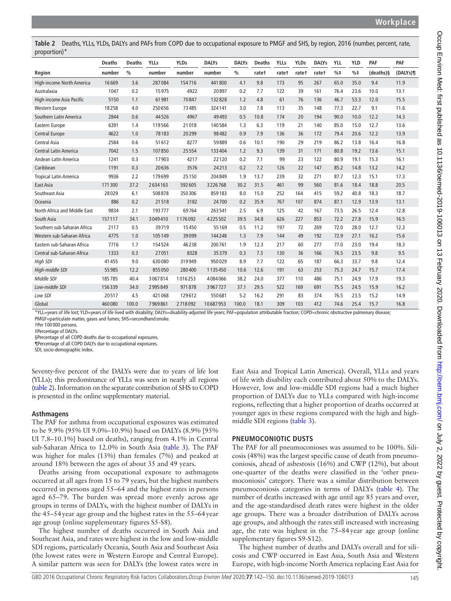<span id="page-3-0"></span>**Table 2** Deaths, YLLs, YLDs, DALYs and PAFs from COPD due to occupational exposure to PMGF and SHS, by region, 2016 (number, percent, rate, proportion)\*

|                               | <b>Deaths</b> | <b>Deaths</b> | <b>YLLs</b> | <b>YLDs</b> | <b>DALYs</b> | <b>DALYs</b>  | <b>Deaths</b> | <b>YLLs</b> | <b>YLDs</b> | <b>DALYs</b> | <b>YLL</b> | <b>YLD</b>       | PAF       | PAF      |
|-------------------------------|---------------|---------------|-------------|-------------|--------------|---------------|---------------|-------------|-------------|--------------|------------|------------------|-----------|----------|
| Region                        | number        | $\frac{0}{0}$ | number      | number      | number       | $\frac{0}{0}$ | ratet         | ratet       | ratet       | ratet        | $% \pm$    | $%$ <sup>+</sup> | (deaths)§ | (DALYs)¶ |
| High-income North America     | 16669         | 3.6           | 287084      | 154716      | 441800       | 4.1           | 9.8           | 173         | 95          | 267          | 65.0       | 35.0             | 9.4       | 11.9     |
| Australasia                   | 1047          | 0.2           | 15975       | 4922        | 20897        | 0.2           | 7.7           | 122         | 39          | 161          | 76.4       | 23.6             | 10.0      | 13.1     |
| High-income Asia Pacific      | 5150          | 1.1           | 61981       | 70847       | 132828       | 1.2           | 4.8           | 61          | 76          | 136          | 46.7       | 53.3             | 12.0      | 15.5     |
| <b>Western Europe</b>         | 18258         | 4.0           | 250656      | 73485       | 324141       | 3.0           | 7.8           | 113         | 35          | 148          | 77.3       | 22.7             | 9.1       | 11.6     |
| Southern Latin America        | 2844          | 0.6           | 44526       | 4967        | 49493        | 0.5           | 10.8          | 174         | 20          | 194          | 90.0       | 10.0             | 12.2      | 14.3     |
| Eastern Europe                | 6391          | 1.4           | 119566      | 21018       | 140584       | 1.3           | 6.3           | 119         | 21          | 140          | 85.0       | 15.0             | 12.7      | 13.6     |
| <b>Central Europe</b>         | 4622          | 1.0           | 78183       | 20299       | 98482        | 0.9           | 7.9           | 136         | 36          | 172          | 79.4       | 20.6             | 12.2      | 13.9     |
| Central Asia                  | 2584          | 0.6           | 51612       | 8277        | 59889        | 0.6           | 10.1          | 190         | 29          | 219          | 86.2       | 13.8             | 16.4      | 16.8     |
| <b>Central Latin America</b>  | 7042          | 1.5           | 107850      | 25554       | 133404       | 1.2           | 9.3           | 139         | 31          | 171          | 80.8       | 19.2             | 13.6      | 15.1     |
| Andean Latin America          | 1241          | 0.3           | 17903       | 4217        | 22120        | 0.2           | 7.1           | 99          | 23          | 122          | 80.9       | 19.1             | 15.3      | 16.1     |
| Caribbean                     | 1191          | 0.3           | 20636       | 3576        | 24213        | 0.2           | 7.2           | 126         | 22          | 147          | 85.2       | 14.8             | 13.2      | 14.2     |
| <b>Tropical Latin America</b> | 9936          | 2.2           | 179699      | 25150       | 204849       | 1.9           | 13.7          | 239         | 32          | 271          | 87.7       | 12.3             | 15.1      | 17.3     |
| East Asia                     | 171300        | 37.2          | 2634163     | 592605      | 3226768      | 30.2          | 31.5          | 461         | 99          | 560          | 81.6       | 18.4             | 18.8      | 20.5     |
| Southeast Asia                | 28029         | 6.1           | 508878      | 350306      | 859183       | 8.0           | 15.0          | 252         | 164         | 415          | 59.2       | 40.8             | 18.3      | 18.7     |
| Oceania                       | 886           | 0.2           | 21518       | 3182        | 24700        | 0.2           | 35.9          | 767         | 107         | 874          | 87.1       | 12.9             | 13.9      | 13.1     |
| North Africa and Middle East  | 9834          | 2.1           | 193777      | 69764       | 263541       | 2.5           | 6.9           | 125         | 42          | 167          | 73.5       | 26.5             | 12.4      | 12.8     |
| South Asia                    | 157117        | 34.1          | 3049410     | 1176092     | 4225502      | 39.5          | 34.8          | 626         | 227         | 853          | 72.2       | 27.8             | 15.9      | 16.5     |
| Southern sub-Saharan Africa   | 2117          | 0.5           | 39719       | 15450       | 55169        | 0.5           | 11.2          | 197         | 72          | 269          | 72.0       | 28.0             | 12.7      | 12.3     |
| Western sub-Saharan Africa    | 4775          | 1.0           | 105149      | 39099       | 144248       | 1.3           | 7.9           | 144         | 49          | 192          | 72.9       | 27.1             | 16.2      | 15.6     |
| Eastern sub-Saharan Africa    | 7716          | 1.7           | 154524      | 46238       | 200761       | 1.9           | 12.3          | 217         | 60          | 277          | 77.0       | 23.0             | 19.4      | 18.3     |
| Central sub-Saharan Africa    | 1333          | 0.3           | 27051       | 8328        | 35379        | 0.3           | 7.3           | 130         | 36          | 166          | 76.5       | 23.5             | 9.8       | 9.5      |
| High SDI                      | 41455         | 9.0           | 630080      | 319949      | 950029       | 8.9           | 7.7           | 122         | 65          | 187          | 66.3       | 33.7             | 9.8       | 12.4     |
| High-middle SDI               | 55985         | 12.2          | 855050      | 280400      | 1135450      | 10.6          | 12.6          | 191         | 63          | 253          | 75.3       | 24.7             | 15.7      | 17.4     |
| Middle SDI                    | 185785        | 40.4          | 3067814     | 1016253     | 4084066      | 38.2          | 24.0          | 377         | 110         | 486          | 75.1       | 24.9             | 17.9      | 19.3     |
| Low-middle SDI                | 156339        | 34.0          | 2995849     | 971878      | 3967727      | 37.1          | 29.5          | 522         | 169         | 691          | 75.5       | 24.5             | 15.9      | 16.2     |
| Low SDI                       | 20517         | 4.5           | 421068      | 129612      | 550681       | 5.2           | 16.2          | 291         | 83          | 374          | 76.5       | 23.5             | 15.2      | 14.9     |
| Global                        | 460080        | 100.0         | 7969861     | 2718092     | 10687953     | 100.0         | 18.1          | 309         | 103         | 412          | 74.6       | 25.4             | 15.7      | 16.8     |

\*YLL=years of life lost; YLD=years of life lived with disability; DALYs=disability-adjusted life years; PAF=population attributable fraction; COPD=chronic obstructive pulmonary disease; PMGF=particulate matter, gases and fumes; SHS=secondhand smoke.

†Per 100 000 persons.

‡Percentage of DALYs.

§Percentage of all COPD deaths due to occupational exposures.

¶Percentage of all COPD DALYs due to occupational exposures.

SDI, socio-demographic index.

Seventy-five percent of the DALYs were due to years of life lost (YLLs); this predominance of YLLs was seen in nearly all regions ([table](#page-3-0) 2). Information on the separate contribution of SHS to COPD is presented in the [online supplementary material](https://dx.doi.org/10.1136/oemed-2019-106013).

#### **Asthmagens**

The PAF for asthma from occupational exposures was estimated to be 9.9% (95% UI 9.0%–10.9%) based on DALYs (8.9% [95% UI 7.8–10.1%] based on deaths), ranging from 4.1% in Central sub-Saharan Africa to 12.0% in South Asia [\(table](#page-4-0) 3). The PAF was higher for males (13%) than females (7%) and peaked at around 18% between the ages of about 35 and 49 years.

Deaths arising from occupational exposure to asthmagens occurred at all ages from 15 to 79 years, but the highest numbers occurred in persons aged 55–64 and the highest rates in persons aged 65–79. The burden was spread more evenly across age groups in terms of DALYs, with the highest number of DALYs in the 45–54year age group and the highest rates in the 55–64year age group ([online supplementary figures S5-S8\)](https://dx.doi.org/10.1136/oemed-2019-106013).

The highest number of deaths occurred in South Asia and Southeast Asia, and rates were highest in the low and low-middle SDI regions, particularly Oceania, South Asia and Southeast Asia (the lowest rates were in Western Europe and Central Europe). A similar pattern was seen for DALYs (the lowest rates were in

East Asia and Tropical Latin America). Overall, YLLs and years of life with disability each contributed about 50% to the DALYs. However, low and low-middle SDI regions had a much higher proportion of DALYs due to YLLs compared with high-income regions, reflecting that a higher proportion of deaths occurred at younger ages in these regions compared with the high and highmiddle SDI regions [\(table](#page-4-0) 3).

# **Pneumoconiotic dusts**

The PAF for all pneumoconioses was assumed to be 100%. Silicosis (48%) was the largest specific cause of death from pneumoconiosis, ahead of asbestosis (16%) and CWP (12%), but about one-quarter of the deaths were classified in the 'other pneumoconiosis' category. There was a similar distribution between pneumoconiosis categories in terms of DALYs [\(table](#page-5-0) 4). The number of deaths increased with age until age 85 years and over, and the age-standardised death rates were highest in the older age groups. There was a broader distribution of DALYs across age groups, and although the rates still increased with increasing age, the rate was highest in the 75–84year age group [\(online](https://dx.doi.org/10.1136/oemed-2019-106013) [supplementary figures S9-S12](https://dx.doi.org/10.1136/oemed-2019-106013)).

The highest number of deaths and DALYs overall and for silicosis and CWP occurred in East Asia, South Asia and Western Europe, with high-income North America replacing East Asia for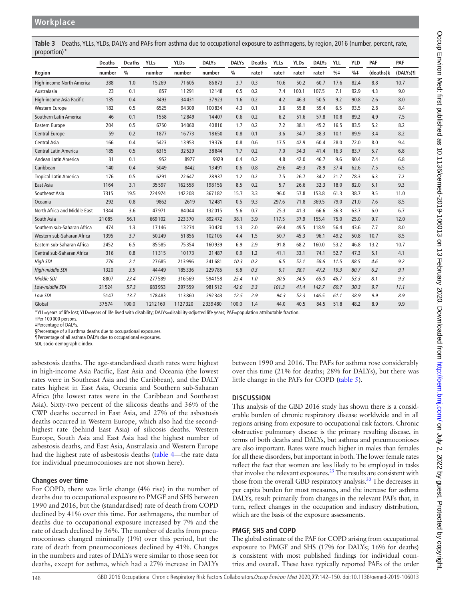<span id="page-4-0"></span>**Table 3** Deaths, YLLs, YLDs, DALYs and PAFs from asthma due to occupational exposure to asthmagens, by region, 2016 (number, percent, rate, proportion)\*

| - . -  - - - <sub>/</sub>     |               |               |             |             |              |               |               |             |             |              |            |            |            |         |
|-------------------------------|---------------|---------------|-------------|-------------|--------------|---------------|---------------|-------------|-------------|--------------|------------|------------|------------|---------|
|                               | <b>Deaths</b> | <b>Deaths</b> | <b>YLLs</b> | <b>YLDs</b> | <b>DALYs</b> | <b>DALYs</b>  | <b>Deaths</b> | <b>YLLs</b> | <b>YLDs</b> | <b>DALYs</b> | <b>YLL</b> | <b>YLD</b> | PAF        | PAF     |
| Region                        | number        | $\frac{0}{0}$ | number      | number      | number       | $\frac{0}{0}$ | ratet         | ratet       | ratet       | ratet        | $% \pm$    | $% \pm$    | (deaths) § | (DALYs) |
| High-income North America     | 388           | 1.0           | 15269       | 71605       | 86873        | 3.7           | 0.3           | 10.6        | 50.2        | 60.7         | 17.6       | 82.4       | 8.8        | 10.7    |
| Australasia                   | 23            | 0.1           | 857         | 11291       | 12148        | 0.5           | 0.2           | 7.4         | 100.1       | 107.5        | 7.1        | 92.9       | 4.3        | 9.0     |
| High-income Asia Pacific      | 135           | 0.4           | 3493        | 34431       | 37923        | 1.6           | 0.2           | 4.2         | 46.3        | 50.5         | 9.2        | 90.8       | 2.6        | 8.0     |
| <b>Western Europe</b>         | 182           | 0.5           | 6525        | 94309       | 100834       | 4.3           | 0.1           | 3.6         | 55.8        | 59.4         | 6.5        | 93.5       | 2.8        | 8.4     |
| Southern Latin America        | 46            | 0.1           | 1558        | 12849       | 14407        | 0.6           | 0.2           | 6.2         | 51.6        | 57.8         | 10.8       | 89.2       | 4.9        | 7.5     |
| Eastern Europe                | 204           | 0.5           | 6750        | 34060       | 40810        | 1.7           | 0.2           | 7.2         | 38.1        | 45.2         | 16.5       | 83.5       | 5.2        | 8.2     |
| <b>Central Europe</b>         | 59            | 0.2           | 1877        | 16773       | 18650        | 0.8           | 0.1           | 3.6         | 34.7        | 38.3         | 10.1       | 89.9       | 3.4        | 8.2     |
| <b>Central Asia</b>           | 166           | 0.4           | 5423        | 13953       | 19376        | 0.8           | 0.6           | 17.5        | 42.9        | 60.4         | 28.0       | 72.0       | 8.0        | 9.4     |
| <b>Central Latin America</b>  | 185           | 0.5           | 6315        | 32529       | 38844        | 1.7           | 0.2           | 7.0         | 34.3        | 41.4         | 16.3       | 83.7       | 5.7        | 6.8     |
| <b>Andean Latin America</b>   | 31            | 0.1           | 952         | 8977        | 9929         | 0.4           | 0.2           | 4.8         | 42.0        | 46.7         | 9.6        | 90.4       | 7.4        | 6.8     |
| Caribbean                     | 140           | 0.4           | 5049        | 8442        | 13491        | 0.6           | 0.8           | 29.6        | 49.3        | 78.9         | 37.4       | 62.6       | 7.5        | 6.5     |
| <b>Tropical Latin America</b> | 176           | 0.5           | 6291        | 22647       | 28937        | 1.2           | 0.2           | 7.5         | 26.7        | 34.2         | 21.7       | 78.3       | 6.3        | 7.2     |
| East Asia                     | 1164          | 3.1           | 35597       | 162558      | 198156       | 8.5           | 0.2           | 5.7         | 26.6        | 32.3         | 18.0       | 82.0       | 5.1        | 9.3     |
| Southeast Asia                | 7315          | 19.5          | 224974      | 142208      | 367182       | 15.7          | 3.3           | 96.0        | 57.8        | 153.8        | 61.3       | 38.7       | 9.5        | 11.0    |
| Oceania                       | 292           | 0.8           | 9862        | 2619        | 12481        | 0.5           | 9.3           | 297.6       | 71.8        | 369.5        | 79.0       | 21.0       | 7.6        | 8.5     |
| North Africa and Middle East  | 1344          | 3.6           | 47971       | 84044       | 132015       | 5.6           | 0.7           | 25.3        | 41.3        | 66.6         | 36.3       | 63.7       | 6.0        | 6.7     |
| South Asia                    | 21085         | 56.1          | 669102      | 223370      | 892472       | 38.1          | 3.9           | 117.5       | 37.9        | 155.4        | 75.0       | 25.0       | 9.7        | 12.0    |
| Southern sub-Saharan Africa   | 474           | 1.3           | 17146       | 13274       | 30420        | 1.3           | 2.0           | 69.4        | 49.5        | 118.9        | 56.4       | 43.6       | 7.7        | 8.0     |
| Western sub-Saharan Africa    | 1395          | 3.7           | 50249       | 51856       | 102105       | 4.4           | 1.5           | 50.7        | 45.3        | 96.1         | 49.2       | 50.8       | 10.7       | 8.5     |
| Eastern sub-Saharan Africa    | 2452          | 6.5           | 85585       | 75354       | 160939       | 6.9           | 2.9           | 91.8        | 68.2        | 160.0        | 53.2       | 46.8       | 13.2       | 10.7    |
| Central sub-Saharan Africa    | 316           | 0.8           | 11315       | 10173       | 21487        | 0.9           | 1.2           | 41.1        | 33.1        | 74.1         | 52.7       | 47.3       | 5.1        | 4.1     |
| High SDI                      | 776           | 2.1           | 27685       | 213996      | 241681       | 10.3          | 0.2           | 6.5         | 52.1        | 58.6         | 11.5       | 88.5       | 4.6        | 9.2     |
| High-middle SDI               | 1320          | 3.5           | 44449       | 185336      | 229785       | 9.8           | 0.3           | 9.1         | 38.1        | 47.2         | 19.3       | 80.7       | 6.2        | 9.1     |
| Middle SDI                    | 8807          | 23.4          | 277589      | 316569      | 594158       | 25.4          | 1.0           | 30.5        | 34.5        | 65.0         | 46.7       | 53.3       | 8.1        | 9.3     |
| Low-middle SDI                | 21524         | 57.3          | 683953      | 297559      | 981512       | 42.0          | 3.3           | 101.3       | 41.4        | 142.7        | 69.7       | 30.3       | 9.7        | 11.1    |
| Low SDI                       | 5147          | 13.7          | 178483      | 113860      | 292343       | 12.5          | 2.9           | 94.3        | 52.3        | 146.5        | 61.1       | 38.9       | 9.9        | 8.9     |
| Global                        | 37574         | 100.0         | 1212160     | 1127320     | 2339480      | 100.0         | 1.4           | 44.0        | 40.5        | 84.5         | 51.8       | 48.2       | 8.9        | 9.9     |

\*YLL=years of life lost; YLD=years of life lived with disability; DALYs=disability-adjusted life years; PAF=population attributable fraction.

†Per 100 000 persons.

‡Percentage of DALYs.

§Percentage of all asthma deaths due to occupational exposures.

¶Percentage of all asthma DALYs due to occupational exposures.

SDI, socio-demographic index.

asbestosis deaths. The age-standardised death rates were highest in high-income Asia Pacific, East Asia and Oceania (the lowest rates were in Southeast Asia and the Caribbean), and the DALY rates highest in East Asia, Oceania and Southern sub-Saharan Africa (the lowest rates were in the Caribbean and Southeast Asia). Sixty-two percent of the silicosis deaths and 36% of the CWP deaths occurred in East Asia, and 27% of the asbestosis deaths occurred in Western Europe, which also had the secondhighest rate (behind East Asia) of silicosis deaths. Western Europe, South Asia and East Asia had the highest number of asbestosis deaths, and East Asia, Australasia and Western Europe had the highest rate of asbestosis deaths ([table](#page-5-0) 4—the rate data for individual pneumoconioses are not shown here).

# **Changes over time**

For COPD, there was little change (4% rise) in the number of deaths due to occupational exposure to PMGF and SHS between 1990 and 2016, but the (standardised) rate of death from COPD declined by 41% over this time. For asthmagens, the number of deaths due to occupational exposure increased by 7% and the rate of death declined by 36%. The number of deaths from pneumoconioses changed minimally (1%) over this period, but the rate of death from pneumoconioses declined by 41%. Changes in the numbers and rates of DALYs were similar to those seen for deaths, except for asthma, which had a 27% increase in DALYs between 1990 and 2016. The PAFs for asthma rose considerably over this time (21% for deaths; 28% for DALYs), but there was little change in the PAFs for COPD ([table](#page-6-0) 5).

# **Discussion**

This analysis of the GBD 2016 study has shown there is a considerable burden of chronic respiratory disease worldwide and in all regions arising from exposure to occupational risk factors. Chronic obstructive pulmonary disease is the primary resulting disease, in terms of both deaths and DALYs, but asthma and pneumoconioses are also important. Rates were much higher in males than females for all these disorders, but important in both. The lower female rates reflect the fact that women are less likely to be employed in tasks that involve the relevant exposures.<sup>23</sup> The results are consistent with those from the overall GBD respiratory analysis[.30](#page-8-5) The decreases in per capita burden for most measures, and the increase for asthma DALYs, result primarily from changes in the relevant PAFs that, in turn, reflect changes in the occupation and industry distribution, which are the basis of the exposure assessments.

# **PMGF, SHS and COPD**

The global estimate of the PAF for COPD arising from occupational exposure to PMGF and SHS (17% for DALYs; 16% for deaths) is consistent with most published findings for individual countries and overall. These have typically reported PAFs of the order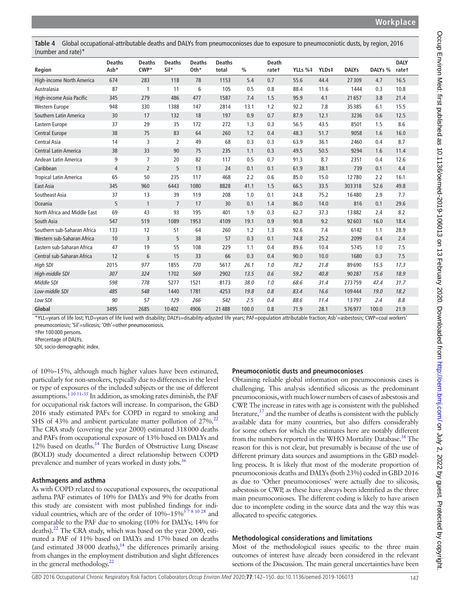<span id="page-5-0"></span>**Table 4** Global occupational-attributable deaths and DALYs from pneumoconioses due to exposure to pneumoconiotic dusts, by region, 2016 (number and rate)\*

| Region                        | <b>Deaths</b><br>Asb* | <b>Deaths</b><br>$CWP*$ | <b>Deaths</b><br>Sil* | <b>Deaths</b><br>Oth* | <b>Deaths</b><br>total | $\frac{0}{0}$ | <b>Death</b><br>ratet | YLLs %‡ | YLDs# | <b>DALYs</b> | DALYs % | <b>DALY</b><br>ratet |
|-------------------------------|-----------------------|-------------------------|-----------------------|-----------------------|------------------------|---------------|-----------------------|---------|-------|--------------|---------|----------------------|
| High-income North America     | 674                   | 283                     | 118                   | 78                    | 1153                   | 5.4           | 0.7                   | 55.6    | 44.4  | 27309        | 4.7     | 16.5                 |
| Australasia                   | 87                    | 1                       | 11                    | 6                     | 105                    | 0.5           | 0.8                   | 88.4    | 11.6  | 1444         | 0.3     | 10.8                 |
| High-income Asia Pacific      | 345                   | 279                     | 486                   | 477                   | 1587                   | 7.4           | 1.5                   | 95.9    | 4.1   | 21 6 57      | 3.8     | 21.4                 |
| <b>Western Europe</b>         | 948                   | 330                     | 1388                  | 147                   | 2814                   | 13.1          | 1.2                   | 92.2    | 7.8   | 35385        | 6.1     | 15.5                 |
| Southern Latin America        | 30                    | 17                      | 132                   | 18                    | 197                    | 0.9           | 0.7                   | 87.9    | 12.1  | 3236         | 0.6     | 12.5                 |
| Eastern Europe                | 37                    | 29                      | 35                    | 172                   | 272                    | 1.3           | 0.3                   | 56.5    | 43.5  | 8501         | 1.5     | 8.6                  |
| <b>Central Europe</b>         | 38                    | 75                      | 83                    | 64                    | 260                    | 1.2           | 0.4                   | 48.3    | 51.7  | 9058         | 1.6     | 16.0                 |
| Central Asia                  | 14                    | 3                       | $\overline{2}$        | 49                    | 68                     | 0.3           | 0.3                   | 63.9    | 36.1  | 2460         | 0.4     | 8.7                  |
| <b>Central Latin America</b>  | 38                    | 33                      | 90                    | 75                    | 235                    | 1.1           | 0.3                   | 49.5    | 50.5  | 9294         | 1.6     | 11.4                 |
| Andean Latin America          | 9                     | $\overline{7}$          | 20                    | 82                    | 117                    | 0.5           | 0.7                   | 91.3    | 8.7   | 2351         | 0.4     | 12.6                 |
| Caribbean                     | 4                     | $\overline{2}$          | 5                     | 13                    | 24                     | 0.1           | 0.1                   | 61.9    | 38.1  | 739          | 0.1     | 4.4                  |
| <b>Tropical Latin America</b> | 65                    | 50                      | 235                   | 117                   | 468                    | 2.2           | 0.6                   | 85.0    | 15.0  | 12780        | 2.2     | 16.1                 |
| East Asia                     | 345                   | 960                     | 6443                  | 1080                  | 8828                   | 41.1          | 1.5                   | 66.5    | 33.5  | 303318       | 52.6    | 49.8                 |
| Southeast Asia                | 37                    | 13                      | 39                    | 119                   | 208                    | 1.0           | 0.1                   | 24.8    | 75.2  | 16480        | 2.9     | 7.7                  |
| Oceania                       | 5                     | $\mathbf{1}$            | $\overline{7}$        | 17                    | 30                     | 0.1           | 1.4                   | 86.0    | 14.0  | 816          | 0.1     | 29.6                 |
| North Africa and Middle East  | 69                    | 43                      | 93                    | 195                   | 401                    | 1.9           | 0.3                   | 62.7    | 37.3  | 13882        | 2.4     | 8.2                  |
| South Asia                    | 547                   | 519                     | 1089                  | 1953                  | 4109                   | 19.1          | 0.9                   | 90.8    | 9.2   | 92603        | 16.0    | 18.4                 |
| Southern sub-Saharan Africa   | 133                   | 12                      | 51                    | 64                    | 260                    | 1.2           | 1.3                   | 92.6    | 7.4   | 6142         | 1.1     | 28.9                 |
| Western sub-Saharan Africa    | 10                    | 3                       | 5                     | 38                    | 57                     | 0.3           | 0.1                   | 74.8    | 25.2  | 2099         | 0.4     | 2.4                  |
| Eastern sub-Saharan Africa    | 47                    | 19                      | 55                    | 108                   | 229                    | 1.1           | 0.4                   | 89.6    | 10.4  | 5745         | 1.0     | 7.5                  |
| Central sub-Saharan Africa    | 12                    | 6                       | 15                    | 33                    | 66                     | 0.3           | 0.4                   | 90.0    | 10.0  | 1680         | 0.3     | 7.5                  |
| <b>High SDI</b>               | 2015                  | 977                     | 1855                  | 770                   | 5617                   | 26.1          | 1.0                   | 78.2    | 21.8  | 89690        | 15.5    | 17.3                 |
| High-middle SDI               | 307                   | 324                     | 1702                  | 569                   | 2902                   | 13.5          | 0.6                   | 59.2    | 40.8  | 90287        | 15.6    | 18.9                 |
| Middle SDI                    | 598                   | 778                     | 5277                  | 1521                  | 8173                   | 38.0          | 1.0                   | 68.6    | 31.4  | 273759       | 47.4    | 31.7                 |
| Low-middle SDI                | 485                   | 548                     | 1440                  | 1781                  | 4253                   | 19.8          | 0.8                   | 83.4    | 16.6  | 109444       | 19.0    | 18.2                 |
| Low SDI                       | 90                    | 57                      | 129                   | 266                   | 542                    | 2.5           | 0.4                   | 88.6    | 11.4  | 13797        | 2.4     | 8.8                  |
| Global                        | 3495                  | 2685                    | 10402                 | 4906                  | 21 4 8 8               | 100.0         | 0.8                   | 71.9    | 28.1  | 576977       | 100.0   | 21.9                 |

\*YLL=years of life lost; YLD=years of life lived with disability; DALYs=disability-adjusted life years; PAF=population attributable fraction; Asb'=asbestosis; CWP=coal workers' pneumoconiosis; 'Sil'=silicosis; 'Oth'=other pneumoconiosis.

†Per 100 000 persons.

‡Percentage of DALYs. SDI, socio-demographic index.

of 10%–15%, although much higher values have been estimated, particularly for non-smokers, typically due to differences in the level or type of exposures of the included subjects or the use of different assumptions[.1 10 31–35](#page-7-0) In addition, as smoking rates diminish, the PAF for occupational risk factors will increase. In comparison, the GBD 2016 study estimated PAFs for COPD in regard to smoking and SHS of 43% and ambient particulate matter pollution of 27%.<sup>22</sup> The CRA study (covering the year 2000) estimated 318000 deaths and PAFs from occupational exposure of 13% based on DALYs and 12% based on deaths.<sup>14</sup> The Burden of Obstructive Lung Disease (BOLD) study documented a direct relationship between COPD prevalence and number of years worked in dusty jobs. $36$ 

# **Asthmagens and asthma**

As with COPD related to occupational exposures, the occupational asthma PAF estimates of 10% for DALYs and 9% for deaths from this study are consistent with most published findings for individual countries, which are of the order of  $10\%$ – $15\%$ <sup>3781028</sup> and comparable to the PAF due to smoking (10% for DALYs; 14% for deaths).<sup>22</sup> The CRA study, which was based on the year 2000, estimated a PAF of 11% based on DALYs and 17% based on deaths (and estimated  $38000$  deaths),<sup>14</sup> the differences primarily arising from changes in the employment distribution and slight differences in the general methodology. $^2$ 

# **Pneumoconiotic dusts and pneumoconioses**

Obtaining reliable global information on pneumoconiosis cases is challenging. This analysis identified silicosis as the predominant pneumoconiosis, with much lower numbers of cases of asbestosis and CWP. The increase in rates with age is consistent with the published literature, $37$  and the number of deaths is consistent with the publicly available data for many countries, but also differs considerably for some others for which the estimates here are notably different from the numbers reported in the WHO Mortality Database.<sup>38</sup> The reason for this is not clear, but presumably is because of the use of different primary data sources and assumptions in the GBD modelling process. It is likely that most of the moderate proportion of pneumoconiosis deaths and DALYs (both 23%) coded in GBD 2016 as due to 'Other pneumoconioses' were actually due to silicosis, asbestosis or CWP, as these have always been identified as the three main pneumoconioses. The different coding is likely to have arisen due to incomplete coding in the source data and the way this was allocated to specific categories.

# **Methodological considerations and limitations**

Most of the methodological issues specific to the three main outcomes of interest have already been considered in the relevant sections of the Discussion. The main general uncertainties have been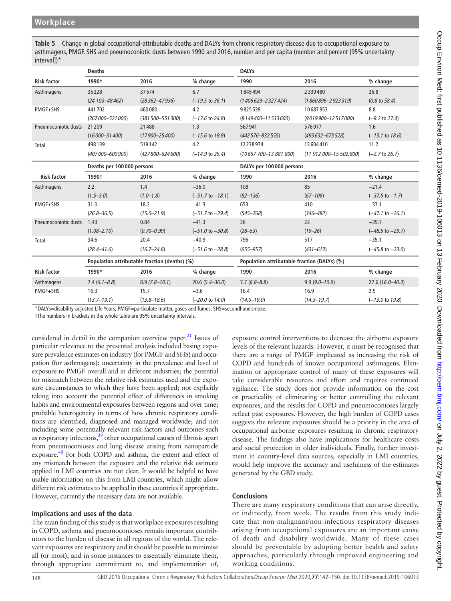<span id="page-6-0"></span>**Table 5** Change in global occupational-attributable deaths and DALYs from chronic respiratory disease due to occupational exposure to asthmagens, PMGF, SHS and pneumoconiotic dusts between 1990 and 2016, number and per capita (number and percent [95% uncertainty intervall)\*

|                      | <b>Deaths</b>             |                                               |                             | <b>DALYs</b>                                 |                             |                             |  |  |  |
|----------------------|---------------------------|-----------------------------------------------|-----------------------------|----------------------------------------------|-----------------------------|-----------------------------|--|--|--|
| <b>Risk factor</b>   | 1990+                     | 2016                                          | % change                    | 1990                                         | 2016                        | % change                    |  |  |  |
| Asthmagens           | 35228                     | 37574                                         | 6.7                         | 1845494                                      | 2339480                     | 26.8                        |  |  |  |
|                      | $(24103 - 48462)$         | $(28362 - 47936)$                             | $(-19.5 \text{ to } 36.1)$  | $(1406629 - 2327424)$                        | $(1860896 - 2923319)$       | $(0.8 \text{ to } 58.4)$    |  |  |  |
| PMGF+SHS             | 441702                    | 460080                                        | 4.2                         | 9825539                                      | 10687953                    | 8.8                         |  |  |  |
|                      | $(367000 - 521000)$       | $(381500 - 551300)$                           | $(-13.6 \text{ to } 24.8)$  | (8149400-11533600)                           | $(9019900 - 12517000)$      | $(-8.2 \text{ to } 27.4)$   |  |  |  |
| Pneumoconiotic dusts | 21 209                    | 21488                                         | 1.3                         | 567941                                       | 576977                      | 1.6                         |  |  |  |
|                      | $(16000 - 31400)$         | $(17900 - 25400)$                             | $(-15.6 \text{ to } 19.8)$  | $(442576 - 83255)$                           | $(493632 - 673528)$         | $(-13.1 \text{ to } 18.6)$  |  |  |  |
| Total                | 498139                    | 519142                                        | 4.2                         | 12238974                                     | 13604410                    | 11.2                        |  |  |  |
|                      | $(407000 - 600900)$       | $(427800 - 624600)$                           | $(-14.9 \text{ to } 25.4)$  | $(10667700 - 13881800)$                      | $(11 912 000 - 15 502,800)$ | $(-2.7 \text{ to } 26.7)$   |  |  |  |
|                      | Deaths per 100000 persons |                                               |                             | DALYs per 100000 persons                     |                             |                             |  |  |  |
| <b>Risk factor</b>   | 1990†                     | 2016                                          | % change                    | 1990                                         | 2016                        | % change                    |  |  |  |
| Asthmagens           | 2.2                       | 1.4                                           | $-36.0$                     | 108                                          | 85                          | $-21.4$                     |  |  |  |
|                      | $(1.5 - 3.0)$             | $(1.0 - 1.8)$                                 | $(-51.7 \text{ to } -18.1)$ | $(82 - 136)$                                 | $(67 - 106)$                | $(-37.5 \text{ to } -1.7)$  |  |  |  |
| PMGF+SHS             | 31.0                      | 18.2                                          | $-41.3$                     | 653                                          | 410                         | $-37.1$                     |  |  |  |
|                      | $(26.8 - 36.5)$           | $(15.0 - 21.9)$                               | $(-51.7 \text{ to } -29.4)$ | $(545 - 768)$                                | $(346 - 482)$               | $(-47.1 \text{ to } -26.1)$ |  |  |  |
| Pneumoconiotic dusts | 1.43                      | 0.84                                          | $-41.3$                     | 36                                           | 22                          | $-39.7$                     |  |  |  |
|                      | $(1.08 - 2.10)$           | $(0.70 - 0.99)$                               | $(-51.0 \text{ to } -30.8)$ | $(28 - 53)$                                  | $(19 - 26)$                 | $(-48.5 \text{ to } -29.7)$ |  |  |  |
| Total                | 34.6                      | 20.4                                          | $-40.9$                     | 796                                          | 517                         | $-35.1$                     |  |  |  |
|                      | $(28.4 - 41.6)$           | $(16.7 - 24.6)$                               | $(-51.6 \text{ to } -28.8)$ | $(655 - 957)$                                | $(431 - 613)$               | $(-45.8 \text{ to } -23.0)$ |  |  |  |
|                      |                           | Population attributable fraction (deaths) (%) |                             | Population attributable fraction (DALYs) (%) |                             |                             |  |  |  |
| <b>Risk factor</b>   | 1990*                     | 2016                                          | % change                    | 1990                                         | 2016                        | % change                    |  |  |  |
| Asthmagens           | $7.4(6.1 - 8.8)$          | $8.9(7.8-10.1)$                               | $20.6(5.4 - 36.0)$          | $7.7(6.8 - 8.8)$                             | $9.9(9.0-10.9)$             | 27.6 (16.0-40.3)            |  |  |  |
| PMGF+SHS             | 16.3                      | 15.7                                          | $-3.6$                      | 16.4                                         | 16.9                        | 2.5                         |  |  |  |
|                      | $(13.7 - 19.1)$           | $(13.8 - 18.6)$                               | $(-20.0 \text{ to } 14.0)$  | $(14.0 - 19.0)$                              | $(14.3 - 19.7)$             | $(-13.0 \text{ to } 19.8)$  |  |  |  |

\*DALYs=disability-adjusted Life Years; PMGF=particulate matter, gases and fumes; SHS=secondhand smoke.

†The numbers in brackets in the whole table are 95% uncertainty intervals.

considered in detail in the companion overview paper. $21$  Issues of particular relevance to the presented analysis included basing exposure prevalence estimates on industry (for PMGF and SHS) and occupation (for asthmagens); uncertainty in the prevalence and level of exposure to PMGF overall and in different industries; the potential for mismatch between the relative risk estimates used and the exposure circumstances to which they have been applied; not explicitly taking into account the potential effect of differences in smoking habits and environmental exposures between regions and over time; probable heterogeneity in terms of how chronic respiratory conditions are identified, diagnosed and managed worldwide; and not including some potentially relevant risk factors and outcomes such as respiratory infections,<sup>39</sup> other occupational causes of fibrosis apart from pneumoconioses and lung disease arising from nanoparticle exposure.<sup>40</sup> For both COPD and asthma, the extent and effect of any mismatch between the exposure and the relative risk estimate applied in LMI countries are not clear. It would be helpful to have usable information on this from LMI countries, which might allow different risk estimates to be applied in these countries if appropriate. However, currently the necessary data are not available.

# **Implications and uses of the data**

The main finding of this study is that workplace exposures resulting in COPD, asthma and pneumoconioses remain important contributors to the burden of disease in all regions of the world. The relevant exposures are respiratory and it should be possible to minimise all (or most), and in some instances to essentially eliminate them, through appropriate commitment to, and implementation of,

exposure control interventions to decrease the airborne exposure levels of the relevant hazards. However, it must be recognised that there are a range of PMGF implicated as increasing the risk of COPD and hundreds of known occupational asthmagens. Elimination or appropriate control of many of these exposures will take considerable resources and effort and requires continued vigilance. The study does not provide information on the cost or practicality of eliminating or better controlling the relevant exposures, and the results for COPD and pneumoconioses largely reflect past exposures. However, the high burden of COPD cases suggests the relevant exposures should be a priority in the area of occupational airborne exposures resulting in chronic respiratory disease. The findings also have implications for healthcare costs and social protection in older individuals. Finally, further investment in country-level data sources, especially in LMI countries, would help improve the accuracy and usefulness of the estimates generated by the GBD study.

# **Conclusions**

There are many respiratory conditions that can arise directly, or indirectly, from work. The results from this study indicate that non-malignant/non-infectious respiratory diseases arising from occupational exposures are an important cause of death and disability worldwide. Many of these cases should be preventable by adopting better health and safety approaches, particularly through improved engineering and working conditions.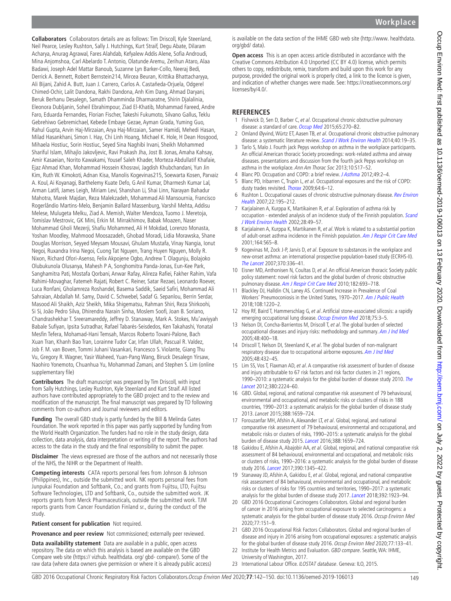**Collaborators** Collaborators details are as follows: Tim Driscoll, Kyle Steenland, Neil Pearce, Lesley Rushton, Sally J. Hutchings, Kurt Straif, Degu Abate, Dilaram Acharya, Anurag Agrawal, Fares Alahdab, Kefyalew Addis Alene, Sofia Androudi, Mina Anjomshoa, Carl Abelardo T. Antonio, Olatunde Aremu, Zerihun Ataro, Alaa Badawi, Joseph Adel Mattar Banoub, Suzanne Lyn Barker-Collo, Neeraj Bedi, Derrick A. Bennett, Robert Bernstein214, Mircea Beuran, Krittika Bhattacharyya, Ali Bijani, Zahid A. Butt, Juan J. Carrero, Carlos A. Castañeda-Orjuela, Odgerel Chimed-Ochir, Lalit Dandona, Rakhi Dandona, Anh Kim Dang, Ahmad Daryani, Beruk Berhanu Desalegn, Samath Dhamminda Dharmaratne, Shirin Djalalinia, Eleonora Dubljanin, Soheil Ebrahimpour, Ziad El-Khatib, Mohammad Fareed, Andre Faro, Eduarda Fernandes, Florian Fischer, Takeshi Fukumoto, Silvano Gallus, Teklu Gebrehiwo Gebremichael, Kebede Embaye Gezae, Ayman Grada, Yuming Guo, Rahul Gupta, Arvin Haj-Mirzaian, Arya Haj-Mirzaian, Samer Hamidi, Mehedi Hasan, Milad Hasankhani, Simon I. Hay, Chi Linh Hoang, Michael K. Hole, H Dean Hosgood, Mihaela Hostiuc, Sorin Hostiuc, Seyed Sina Naghibi Irvani, Sheikh Mohammed Shariful Islam, Mihajlo Jakovljevic, Ravi Prakash Jha, Jost B. Jonas, Amaha Kahsay, Amir Kasaeian, Norito Kawakami, Yousef Saleh Khader, Morteza Abdullatif Khafaie, Ejaz Ahmad Khan, Mohammad Hossein Khosravi, Jagdish Khubchandani, Yun Jin Kim, Ruth W. Kimokoti, Adnan Kisa, Manolis Kogevinas215, Soewarta Kosen, Parvaiz A. Koul, Ai Koyanagi, Barthelemy Kuate Defo, G Anil Kumar, Dharmesh Kumar Lal, Arman Latifi, James Leigh, Miriam Levi, Shanshan Li, Shai Linn, Narayan Bahadur Mahotra, Marek Majdan, Reza Malekzadeh, Mohammad Ali Mansournia, Francisco Rogerlândio Martins-Melo, Benjamin Ballard Massenburg, Varshil Mehta, Addisu Melese, Mulugeta Melku, Ziad A. Memish, Walter Mendoza, Tuomo J. Meretoja, Tomislav Mestrovic, GK Mini, Erkin M. Mirrakhimov, Babak Moazen, Naser Mohammad Gholi Mezerji, Shafiu Mohammed, Ali H Mokdad, Lorenzo Monasta, Yoshan Moodley, Mahmood Moosazadeh, Ghobad Moradi, Lidia Morawska, Shane Douglas Morrison, Seyyed Meysam Mousavi, Ghulam Mustafa, Vinay Nangia, Ionut Negoi, Ruxandra Irina Negoi, Cuong Tat Nguyen, Trang Huyen Nguyen, Molly R. Nixon, Richard Ofori-Asenso, Felix Akpojene Ogbo, Andrew T. Olagunju, Bolajoko Olubukunola Olusanya, Mahesh P A, Songhomitra Panda-Jonas, Eun-Kee Park, Sanghamitra Pati, Mostafa Qorbani, Anwar Rafay, Alireza Rafiei, Fakher Rahim, Vafa Rahimi-Movaghar, Fatemeh Rajati, Robert C. Reiner, Satar Rezaei, Leonardo Roever, Luca Ronfani, Gholamreza Roshandel, Basema Saddik, Saeid Safiri, Mohammad Ali Sahraian, Abdallah M. Samy, David C. Schwebel, Sadaf G. Sepanlou, Berrin Serdar, Masood Ali Shaikh, Aziz Sheikh, Mika Shigematsu, Rahman Shiri, Reza Shirkoohi, Si Si, João Pedro Silva, Dhirendra Narain Sinha, Moslem Soofi, Joan B. Soriano, Chandrashekhar T. Sreeramareddy, Jeffrey D. Stanaway, Mark A. Stokes, Mu'awiyyah Babale Sufiyan, Ipsita Sutradhar, Rafael Tabarés-Seisdedos, Ken Takahashi, Yonatal Mesfin Tefera, Mohamad-Hani Temsah, Marcos Roberto Tovani-Palone, Bach Xuan Tran, Khanh Bao Tran, Lorainne Tudor Car, Irfan Ullah, Pascual R. Valdez, Job F. M. van Boven, Tommi Juhani Vasankari, Francesco S. Violante, Giang Thu Vu, Gregory R. Wagner, Yasir Waheed, Yuan-Pang Wang, Biruck Desalegn Yirsaw, Naohiro Yonemoto, Chuanhua Yu, Mohammad Zamani, and Stephen S. Lim [\(online](https://dx.doi.org/10.1136/oemed-2019-106013)  [supplementary file\)](https://dx.doi.org/10.1136/oemed-2019-106013)

**Contributors** The draft manuscript was prepared by Tim Driscoll, with input from Sally Hutchings, Lesley Rushton, Kyle Steenland and Kurt Straif. All listed authors have contributed appropriately to the GBD project and to the review and modification of the manuscript. The final manuscript was prepared by TD following comments from co-authors and Journal reviewers and editors.

**Funding** The overall GBD study is partly funded by the Bill & Melinda Gates Foundation. The work reported in this paper was partly supported by funding from the World Health Organization. The funders had no role in the study design, data collection, data analysis, data interpretation or writing of the report. The authors had access to the data in the study and the final responsibility to submit the paper.

**Disclaimer** The views expressed are those of the authors and not necessarily those of the NHS, the NIHR or the Department of Health.

**Competing interests** CATA reports personal fees from Johnson & Johnson (Philippines), Inc., outside the submitted work. NK reports personal fees from Junpukai Foundation and Softbank, Co.; and grants from Fujitsu, LTD, Fujitsu Software Technologies, LTD and Softbank, Co., outside the submitted work. JK reports grants from Merck Pharmaceuticals, outside the submitted work. TJM reports grants from Cancer Foundation Finland sr., during the conduct of the study.

**Patient consent for publication** Not required.

**Provenance and peer review** Not commissioned; externally peer reviewed.

**Data availability statement** Data are available in a public, open access repository. The data on which this analysis is based are available on the GBD Compare web site (https:// vizhub. healthdata. org/ gbd- compare/). Some of the raw data (where data owners give permission or where it is already public access) is available on the data section of the IHME GBD web site ([http://www.](http://www/) healthdata. org/gbd/ data).

**Open access** This is an open access article distributed in accordance with the Creative Commons Attribution 4.0 Unported (CC BY 4.0) license, which permits others to copy, redistribute, remix, transform and build upon this work for any purpose, provided the original work is properly cited, a link to the licence is given, and indication of whether changes were made. See: [https://creativecommons.org/](https://creativecommons.org/licenses/by/4.0/) [licenses/by/4.0/.](https://creativecommons.org/licenses/by/4.0/)

#### **References**

- <span id="page-7-0"></span>1 Fishwick D, Sen D, Barber C, et al. Occupational chronic obstructive pulmonary disease: a standard of care. [Occup Med](http://dx.doi.org/10.1093/occmed/kqv019) 2015;65:270-82.
- 2 Omland Øyvind, Würtz ET, Aasen TB, et al. Occupational chronic obstructive pulmonary disease: a systematic literature review. [Scand J Work Environ Health](http://dx.doi.org/10.5271/sjweh.3400) 2014;40:19-35.
- <span id="page-7-13"></span>3 Tarlo S, Malo J. Fourth jack Pepys workshop on asthma in the workplace participants. An official American thoracic Society proceedings: work-related asthma and airway diseases. presentations and discussion from the fourth jack Pepys workshop on asthma in the workplace. Ann Am Thorac Soc 2013;10:S17–S2.
- 4 Blanc PD. Occupation and COPD: a brief review. [J Asthma](http://dx.doi.org/10.3109/02770903.2011.611957) 2012;49:2-4.
- <span id="page-7-11"></span>5 Blanc PD, Iribarren C, Trupin L, et al. Occupational exposures and the risk of COPD:
- dusty trades revisited. [Thorax](http://dx.doi.org/10.1136/thx.2008.099390) 2009;64:6-12. 6 Rushton L. Occupational causes of chronic obstructive pulmonary disease. [Rev Environ](http://dx.doi.org/10.1515/REVEH.2007.22.3.195)  [Health](http://dx.doi.org/10.1515/REVEH.2007.22.3.195) 2007;22:195–212.
- <span id="page-7-12"></span>7 Karjalainen A, Kurppa K, Martikainen R, et al. Exploration of asthma risk by occupation - extended analysis of an incidence study of the Finnish population. Scand [J Work Environ Health](http://dx.doi.org/10.5271/sjweh.646) 2002;28:49–57.
- 8 Karjalainen A, Kurppa K, Martikanen R, et al. Work is related to a substantial portion of adult-onset asthma incidence in the Finnish population. [Am J Respir Crit Care Med](http://dx.doi.org/10.1164/ajrccm.164.4.2012146) 2001;164:565–8.
- 9 Kogevinas M, Zock J-P, Jarvis D, et al. Exposure to substances in the workplace and new-onset asthma: an international prospective population-based study (ECRHS-II). [The Lancet](http://dx.doi.org/10.1016/S0140-6736(07)61164-7) 2007;370:336–41.
- 10 Eisner MD, Anthonisen N, Coultas D, et al. An official American thoracic Society public policy statement: novel risk factors and the global burden of chronic obstructive pulmonary disease. [Am J Respir Crit Care Med](http://dx.doi.org/10.1164/rccm.200811-1757ST) 2010;182:693-718.
- <span id="page-7-1"></span>11 Blackley DJ, Halldin CN, Laney AS. Continued Increase in Prevalence of Coal Workers' Pneumoconiosis in the United States, 1970–2017. [Am J Public Health](http://dx.doi.org/10.2105/AJPH.2018.304517) 2018;108:1220–2.
- 12 Hoy RF, Baird T, Hammerschlag G, et al. Artificial stone-associated silicosis: a rapidly emerging occupational lung disease. [Occup Environ Med](http://dx.doi.org/10.1136/oemed-2017-104428) 2018;75:3-5.
- <span id="page-7-2"></span>13 Nelson DI, Concha-Barrientos M, Driscoll T, et al. The global burden of selected occupational diseases and injury risks: methodology and summary. [Am J Ind Med](http://dx.doi.org/10.1002/ajim.20211) 2005;48:400–18.
- <span id="page-7-3"></span>14 Driscoll T, Nelson DI, Steenland K, et al. The global burden of non-malignant respiratory disease due to occupational airborne exposures. [Am J Ind Med](http://dx.doi.org/10.1002/ajim.20210) 2005;48:432–45.
- <span id="page-7-4"></span>15 Lim SS, Vos T, Flaxman AD, et al. A comparative risk assessment of burden of disease and injury attributable to 67 risk factors and risk factor clusters in 21 regions, 1990–2010: a systematic analysis for the global burden of disease study 2010. The [Lancet](http://dx.doi.org/10.1016/S0140-6736(12)61766-8) 2012;380:2224–60.
- <span id="page-7-5"></span>16 GBD. Global, regional, and national comparative risk assessment of 79 behavioural, environmental and occupational, and metabolic risks or clusters of risks in 188 countries, 1990–2013: a systematic analysis for the global burden of disease study 2013. Lancet 2015;388:1659–724.
- 17 Forouzanfar MH, Afshin A, Alexander LT, et al. Global, regional, and national comparative risk assessment of 79 behavioural, environmental and occupational, and metabolic risks or clusters of risks, 1990–2015: a systematic analysis for the global burden of disease study 2015. [Lancet](http://dx.doi.org/10.1016/S0140-6736(16)31679-8) 2016;388:1659–724.
- <span id="page-7-6"></span>18 Gakidou E, Afshin A, Abajobir AA, et al. Global, regional, and national comparative risk assessment of 84 behavioural, environmental and occupational, and metabolic risks or clusters of risks, 1990–2016: a systematic analysis for the global burden of disease study 2016. [Lancet](http://dx.doi.org/10.1016/S0140-6736(17)32366-8) 2017;390:1345-422.
- 19 Stanaway JD, Afshin A, Gakidou E, et al. Global, regional, and national comparative risk assessment of 84 behavioural, environmental and occupational, and metabolic risks or clusters of risks for 195 countries and territories, 1990–2017: a systematic analysis for the global burden of disease study 2017. [Lancet](http://dx.doi.org/10.1016/S0140-6736(18)32225-6) 2018;392:1923-94.
- <span id="page-7-7"></span>20 GBD 2016 Occupational Carcinogens Collaborators. Global and regional burden of cancer in 2016 arising from occupational exposure to selected carcinogens: a systematic analysis for the global burden of disease study 2016. Occup Environ Med 2020;77:151–9.
- <span id="page-7-8"></span>21 GBD 2016 Occupational Risk Factors Collaborators. Global and regional burden of disease and injury in 2016 arising from occupational exposures: a systematic analysis for the global burden of disease study 2016. Occup Environ Med 2020;77:133–41.
- <span id="page-7-9"></span>22 Institute for Health Metrics and Evaluation. GBD compare. Seattle, WA: IHME, University of Washington, 2017.
- <span id="page-7-10"></span>23 International Labour Office. ILOSTAT database. Geneva: ILO, 2015.